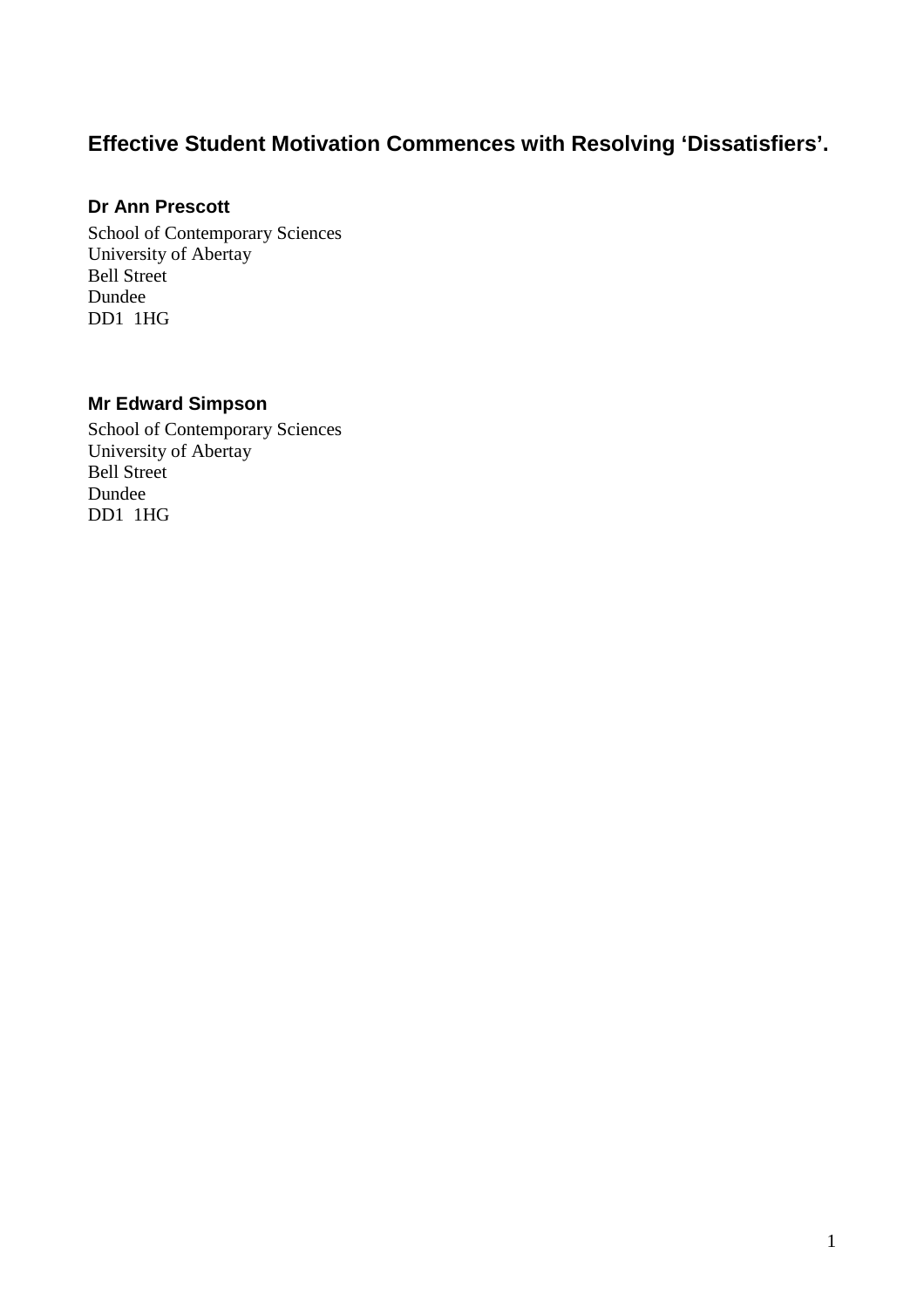# **Effective Student Motivation Commences with Resolving 'Dissatisfiers'.**

#### **Dr Ann Prescott**

School of Contemporary Sciences University of Abertay Bell Street Dundee DD1 1HG

## **Mr Edward Simpson**

School of Contemporary Sciences University of Abertay Bell Street Dundee DD1 1HG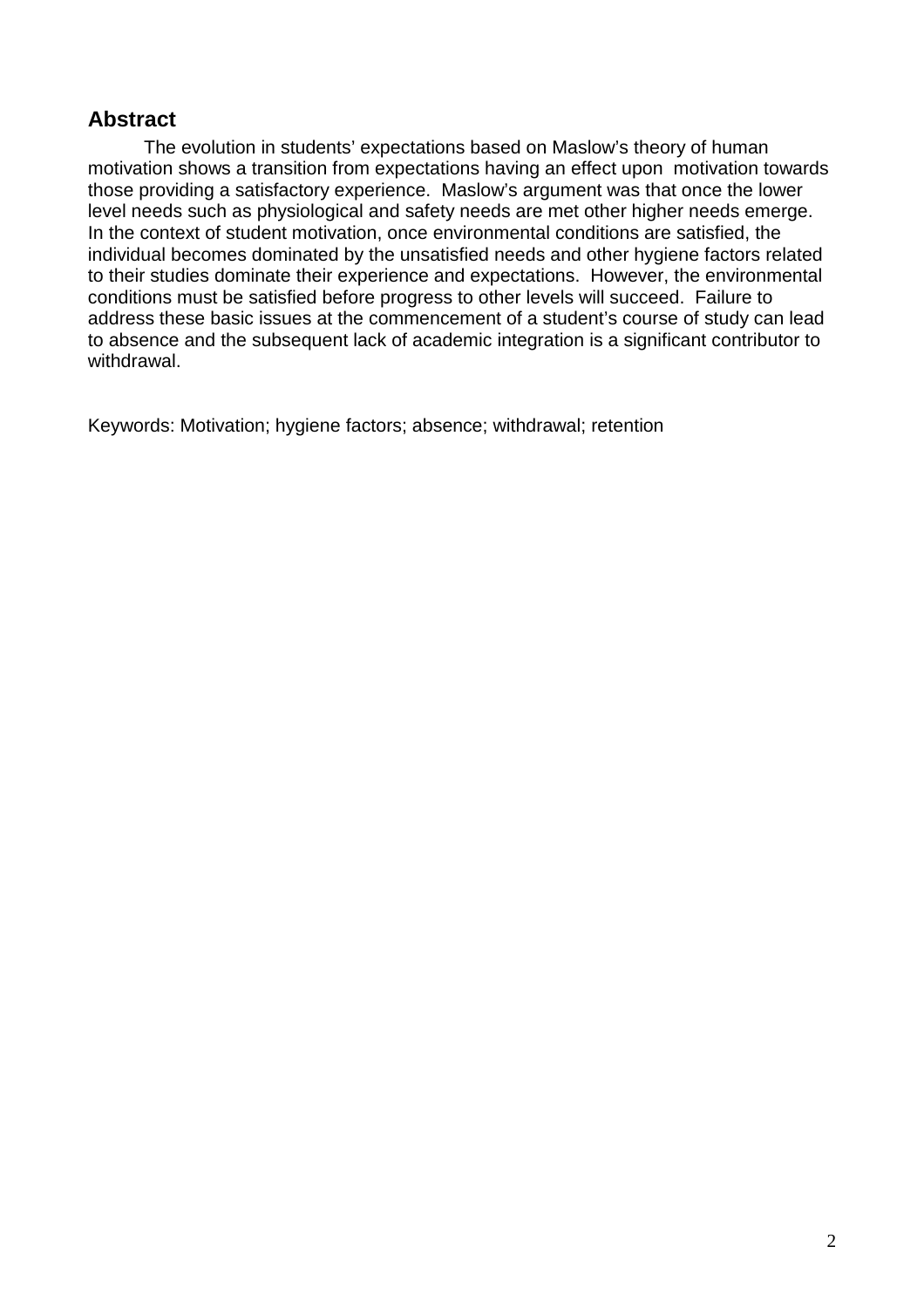## **Abstract**

The evolution in students' expectations based on Maslow's theory of human motivation shows a transition from expectations having an effect upon motivation towards those providing a satisfactory experience. Maslow's argument was that once the lower level needs such as physiological and safety needs are met other higher needs emerge. In the context of student motivation, once environmental conditions are satisfied, the individual becomes dominated by the unsatisfied needs and other hygiene factors related to their studies dominate their experience and expectations. However, the environmental conditions must be satisfied before progress to other levels will succeed. Failure to address these basic issues at the commencement of a student's course of study can lead to absence and the subsequent lack of academic integration is a significant contributor to withdrawal.

Keywords: Motivation; hygiene factors; absence; withdrawal; retention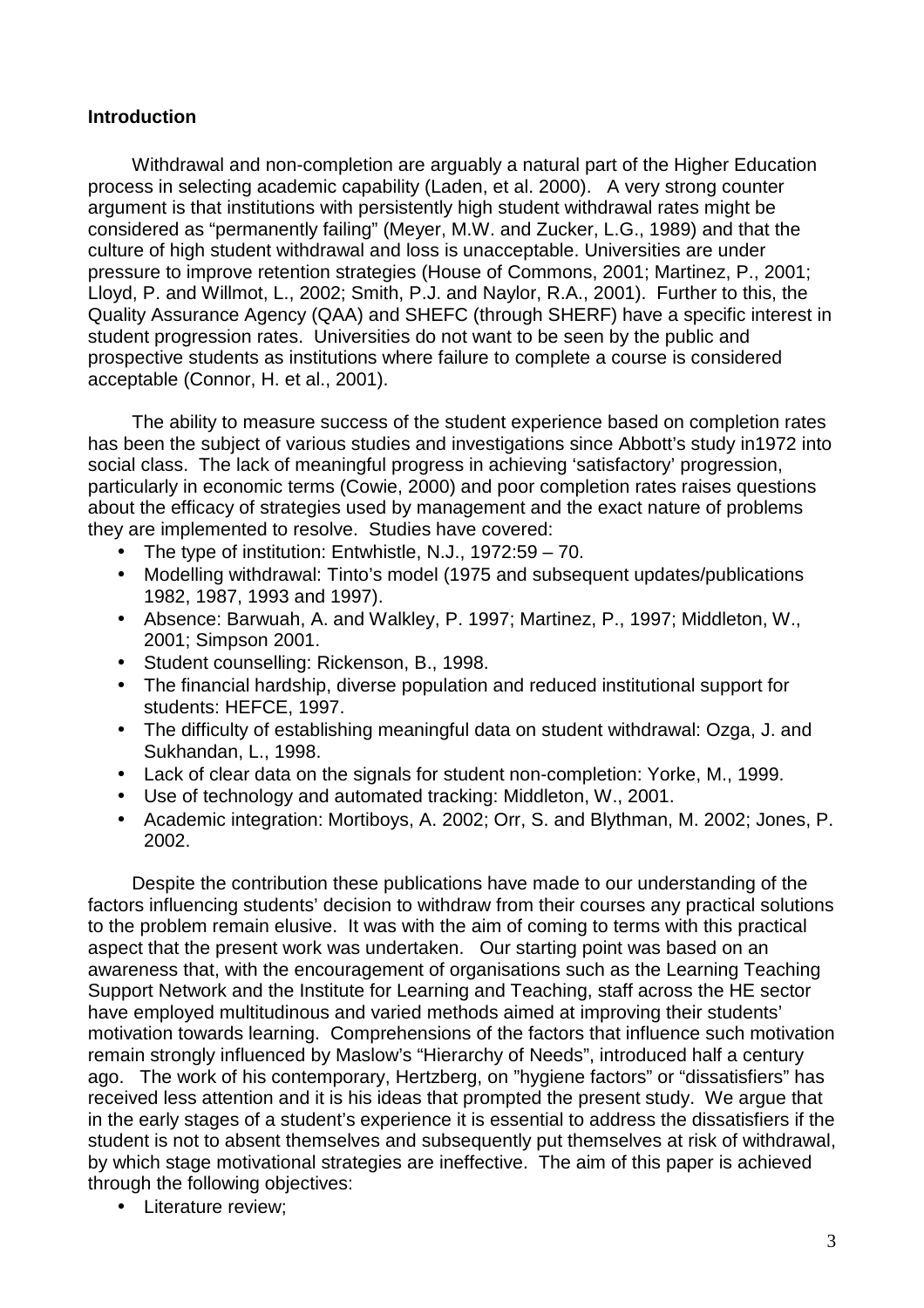#### **Introduction**

Withdrawal and non-completion are arguably a natural part of the Higher Education process in selecting academic capability (Laden, et al. 2000). A very strong counter argument is that institutions with persistently high student withdrawal rates might be considered as "permanently failing" (Meyer, M.W. and Zucker, L.G., 1989) and that the culture of high student withdrawal and loss is unacceptable. Universities are under pressure to improve retention strategies (House of Commons, 2001; Martinez, P., 2001; Lloyd, P. and Willmot, L., 2002; Smith, P.J. and Naylor, R.A., 2001). Further to this, the Quality Assurance Agency (QAA) and SHEFC (through SHERF) have a specific interest in student progression rates. Universities do not want to be seen by the public and prospective students as institutions where failure to complete a course is considered acceptable (Connor, H. et al., 2001).

The ability to measure success of the student experience based on completion rates has been the subject of various studies and investigations since Abbott's study in1972 into social class. The lack of meaningful progress in achieving 'satisfactory' progression, particularly in economic terms (Cowie, 2000) and poor completion rates raises questions about the efficacy of strategies used by management and the exact nature of problems they are implemented to resolve. Studies have covered:

- The type of institution: Entwhistle, N.J., 1972:59 70.
- Modelling withdrawal: Tinto's model (1975 and subsequent updates/publications 1982, 1987, 1993 and 1997).
- Absence: Barwuah, A. and Walkley, P. 1997; Martinez, P., 1997; Middleton, W., 2001; Simpson 2001.
- Student counselling: Rickenson, B., 1998.
- The financial hardship, diverse population and reduced institutional support for students: HEFCE, 1997.
- The difficulty of establishing meaningful data on student withdrawal: Ozga, J. and Sukhandan, L., 1998.
- Lack of clear data on the signals for student non-completion: Yorke, M., 1999.
- Use of technology and automated tracking: Middleton, W., 2001.
- Academic integration: Mortiboys, A. 2002; Orr, S. and Blythman, M. 2002; Jones, P. 2002.

Despite the contribution these publications have made to our understanding of the factors influencing students' decision to withdraw from their courses any practical solutions to the problem remain elusive. It was with the aim of coming to terms with this practical aspect that the present work was undertaken. Our starting point was based on an awareness that, with the encouragement of organisations such as the Learning Teaching Support Network and the Institute for Learning and Teaching, staff across the HE sector have employed multitudinous and varied methods aimed at improving their students' motivation towards learning. Comprehensions of the factors that influence such motivation remain strongly influenced by Maslow's "Hierarchy of Needs", introduced half a century ago. The work of his contemporary, Hertzberg, on "hygiene factors" or "dissatisfiers" has received less attention and it is his ideas that prompted the present study. We argue that in the early stages of a student's experience it is essential to address the dissatisfiers if the student is not to absent themselves and subsequently put themselves at risk of withdrawal, by which stage motivational strategies are ineffective. The aim of this paper is achieved through the following objectives:

• Literature review;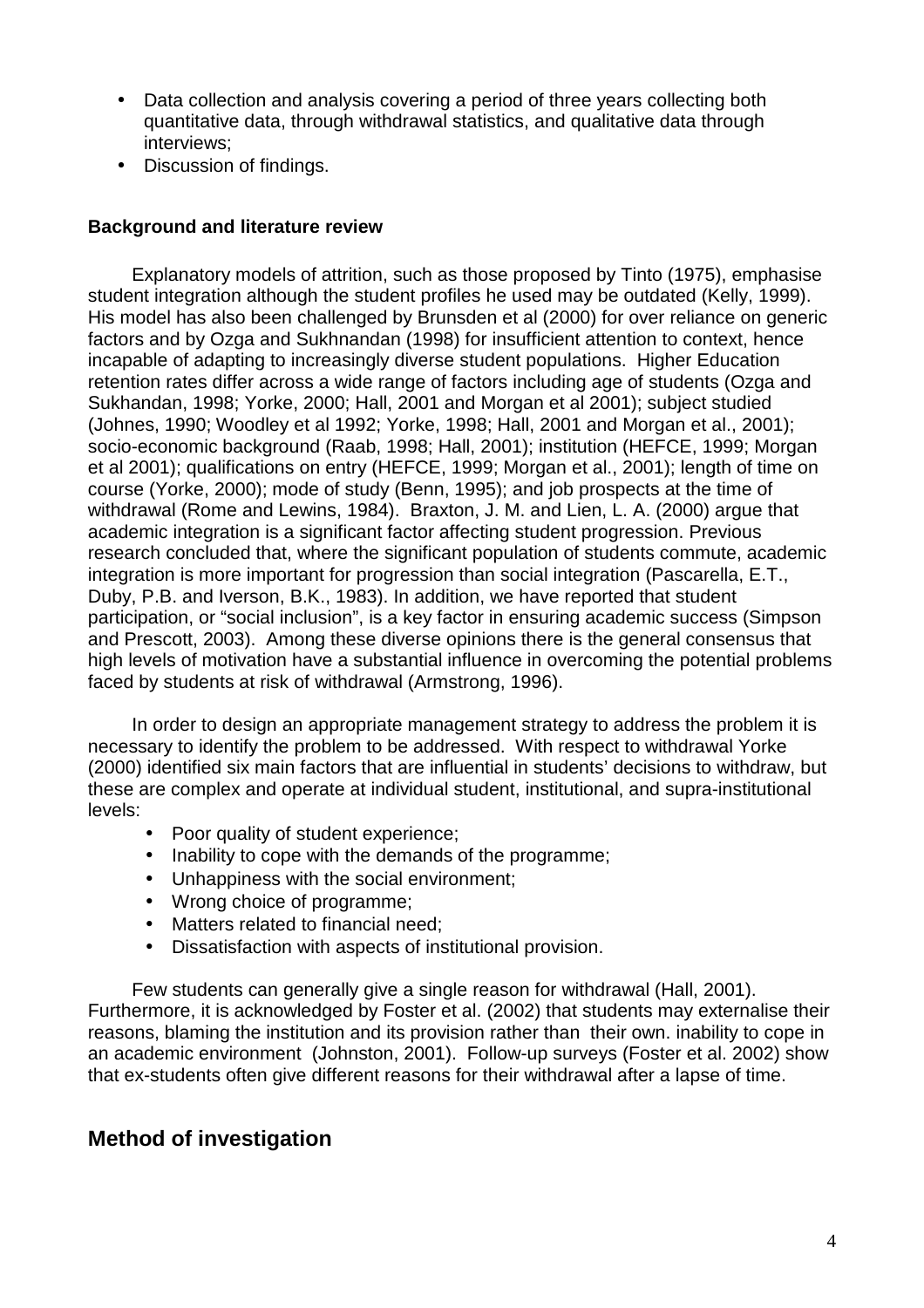- Data collection and analysis covering a period of three years collecting both quantitative data, through withdrawal statistics, and qualitative data through interviews;
- Discussion of findings.

### **Background and literature review**

Explanatory models of attrition, such as those proposed by Tinto (1975), emphasise student integration although the student profiles he used may be outdated (Kelly, 1999). His model has also been challenged by Brunsden et al (2000) for over reliance on generic factors and by Ozga and Sukhnandan (1998) for insufficient attention to context, hence incapable of adapting to increasingly diverse student populations. Higher Education retention rates differ across a wide range of factors including age of students (Ozga and Sukhandan, 1998; Yorke, 2000; Hall, 2001 and Morgan et al 2001); subject studied (Johnes, 1990; Woodley et al 1992; Yorke, 1998; Hall, 2001 and Morgan et al., 2001); socio-economic background (Raab, 1998; Hall, 2001); institution (HEFCE, 1999; Morgan et al 2001); qualifications on entry (HEFCE, 1999; Morgan et al., 2001); length of time on course (Yorke, 2000); mode of study (Benn, 1995); and job prospects at the time of withdrawal (Rome and Lewins, 1984). Braxton, J. M. and Lien, L. A. (2000) argue that academic integration is a significant factor affecting student progression. Previous research concluded that, where the significant population of students commute, academic integration is more important for progression than social integration (Pascarella, E.T., Duby, P.B. and Iverson, B.K., 1983). In addition, we have reported that student participation, or "social inclusion", is a key factor in ensuring academic success (Simpson and Prescott, 2003). Among these diverse opinions there is the general consensus that high levels of motivation have a substantial influence in overcoming the potential problems faced by students at risk of withdrawal (Armstrong, 1996).

In order to design an appropriate management strategy to address the problem it is necessary to identify the problem to be addressed. With respect to withdrawal Yorke (2000) identified six main factors that are influential in students' decisions to withdraw, but these are complex and operate at individual student, institutional, and supra-institutional levels:

- Poor quality of student experience;
- Inability to cope with the demands of the programme;
- Unhappiness with the social environment;
- Wrong choice of programme;
- Matters related to financial need;
- Dissatisfaction with aspects of institutional provision.

Few students can generally give a single reason for withdrawal (Hall, 2001). Furthermore, it is acknowledged by Foster et al. (2002) that students may externalise their reasons, blaming the institution and its provision rather than their own. inability to cope in an academic environment (Johnston, 2001). Follow-up surveys (Foster et al. 2002) show that ex-students often give different reasons for their withdrawal after a lapse of time.

## **Method of investigation**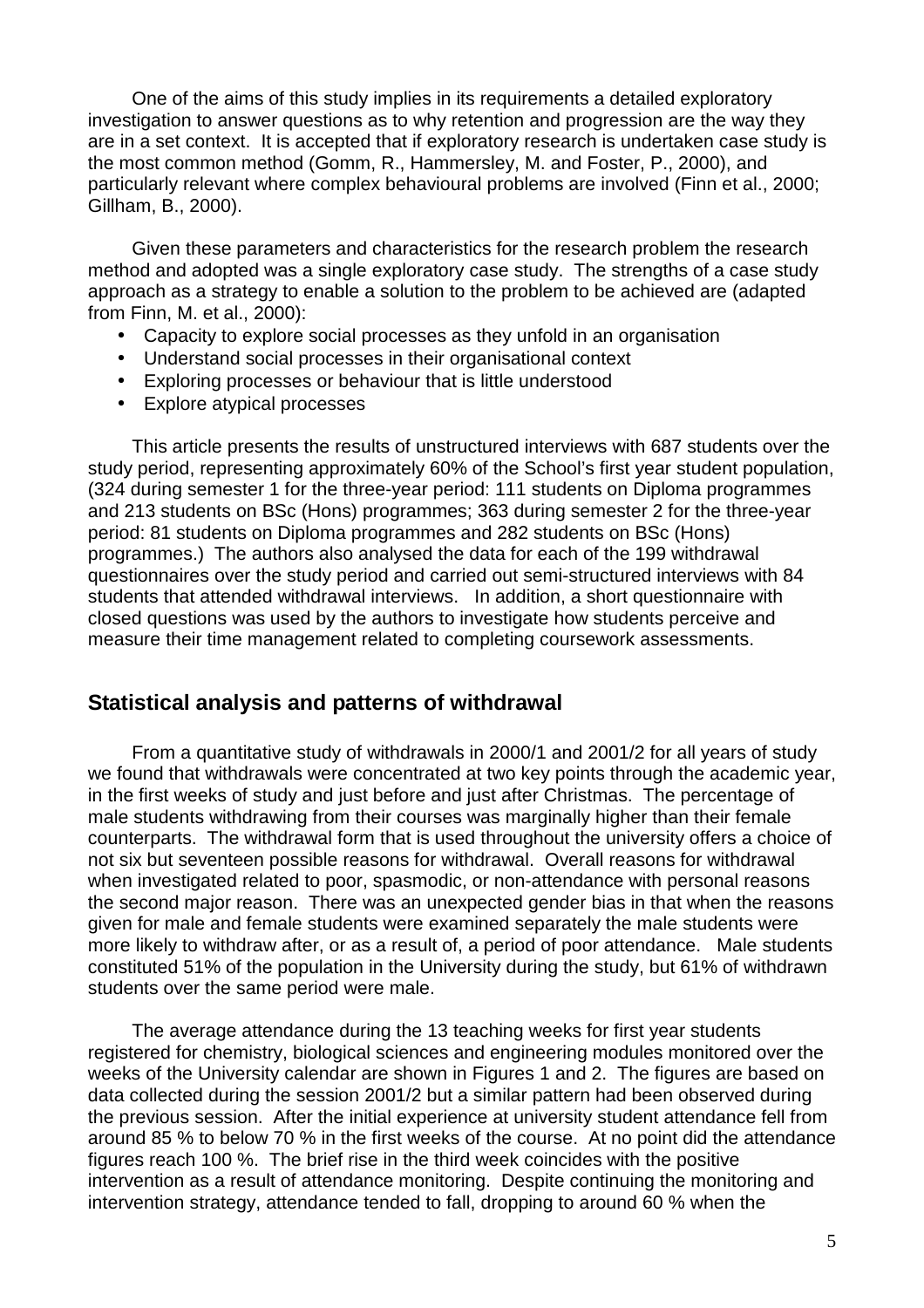One of the aims of this study implies in its requirements a detailed exploratory investigation to answer questions as to why retention and progression are the way they are in a set context. It is accepted that if exploratory research is undertaken case study is the most common method (Gomm, R., Hammersley, M. and Foster, P., 2000), and particularly relevant where complex behavioural problems are involved (Finn et al., 2000; Gillham, B., 2000).

Given these parameters and characteristics for the research problem the research method and adopted was a single exploratory case study. The strengths of a case study approach as a strategy to enable a solution to the problem to be achieved are (adapted from Finn, M. et al., 2000):

- Capacity to explore social processes as they unfold in an organisation
- Understand social processes in their organisational context
- Exploring processes or behaviour that is little understood
- Explore atypical processes

This article presents the results of unstructured interviews with 687 students over the study period, representing approximately 60% of the School's first year student population, (324 during semester 1 for the three-year period: 111 students on Diploma programmes and 213 students on BSc (Hons) programmes; 363 during semester 2 for the three-year period: 81 students on Diploma programmes and 282 students on BSc (Hons) programmes.) The authors also analysed the data for each of the 199 withdrawal questionnaires over the study period and carried out semi-structured interviews with 84 students that attended withdrawal interviews. In addition, a short questionnaire with closed questions was used by the authors to investigate how students perceive and measure their time management related to completing coursework assessments.

## **Statistical analysis and patterns of withdrawal**

From a quantitative study of withdrawals in 2000/1 and 2001/2 for all years of study we found that withdrawals were concentrated at two key points through the academic year, in the first weeks of study and just before and just after Christmas. The percentage of male students withdrawing from their courses was marginally higher than their female counterparts. The withdrawal form that is used throughout the university offers a choice of not six but seventeen possible reasons for withdrawal. Overall reasons for withdrawal when investigated related to poor, spasmodic, or non-attendance with personal reasons the second major reason. There was an unexpected gender bias in that when the reasons given for male and female students were examined separately the male students were more likely to withdraw after, or as a result of, a period of poor attendance. Male students constituted 51% of the population in the University during the study, but 61% of withdrawn students over the same period were male.

The average attendance during the 13 teaching weeks for first year students registered for chemistry, biological sciences and engineering modules monitored over the weeks of the University calendar are shown in Figures 1 and 2. The figures are based on data collected during the session 2001/2 but a similar pattern had been observed during the previous session. After the initial experience at university student attendance fell from around 85 % to below 70 % in the first weeks of the course. At no point did the attendance figures reach 100 %. The brief rise in the third week coincides with the positive intervention as a result of attendance monitoring. Despite continuing the monitoring and intervention strategy, attendance tended to fall, dropping to around 60 % when the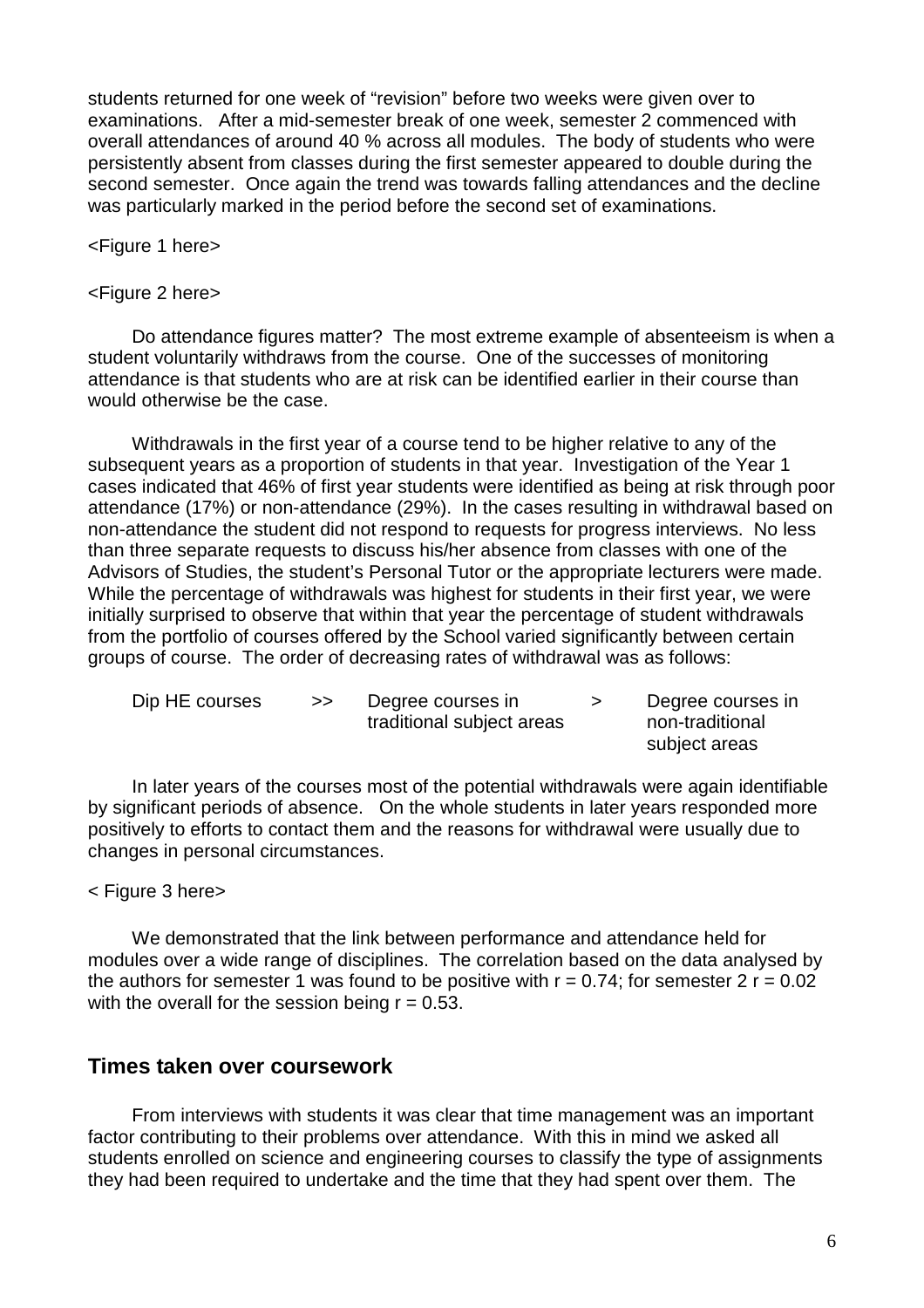students returned for one week of "revision" before two weeks were given over to examinations. After a mid-semester break of one week, semester 2 commenced with overall attendances of around 40 % across all modules. The body of students who were persistently absent from classes during the first semester appeared to double during the second semester. Once again the trend was towards falling attendances and the decline was particularly marked in the period before the second set of examinations.

<Figure 1 here>

#### <Figure 2 here>

Do attendance figures matter? The most extreme example of absenteeism is when a student voluntarily withdraws from the course. One of the successes of monitoring attendance is that students who are at risk can be identified earlier in their course than would otherwise be the case.

Withdrawals in the first year of a course tend to be higher relative to any of the subsequent years as a proportion of students in that year. Investigation of the Year 1 cases indicated that 46% of first year students were identified as being at risk through poor attendance (17%) or non-attendance (29%). In the cases resulting in withdrawal based on non-attendance the student did not respond to requests for progress interviews. No less than three separate requests to discuss his/her absence from classes with one of the Advisors of Studies, the student's Personal Tutor or the appropriate lecturers were made. While the percentage of withdrawals was highest for students in their first year, we were initially surprised to observe that within that year the percentage of student withdrawals from the portfolio of courses offered by the School varied significantly between certain groups of course. The order of decreasing rates of withdrawal was as follows:

| Dip HE courses | > | Degree courses in         | Degree courses in |
|----------------|---|---------------------------|-------------------|
|                |   | traditional subject areas | non-traditional   |
|                |   |                           | subject areas     |

In later years of the courses most of the potential withdrawals were again identifiable by significant periods of absence. On the whole students in later years responded more positively to efforts to contact them and the reasons for withdrawal were usually due to changes in personal circumstances.

#### < Figure 3 here>

We demonstrated that the link between performance and attendance held for modules over a wide range of disciplines. The correlation based on the data analysed by the authors for semester 1 was found to be positive with  $r = 0.74$ ; for semester 2  $r = 0.02$ with the overall for the session being  $r = 0.53$ .

### **Times taken over coursework**

From interviews with students it was clear that time management was an important factor contributing to their problems over attendance. With this in mind we asked all students enrolled on science and engineering courses to classify the type of assignments they had been required to undertake and the time that they had spent over them. The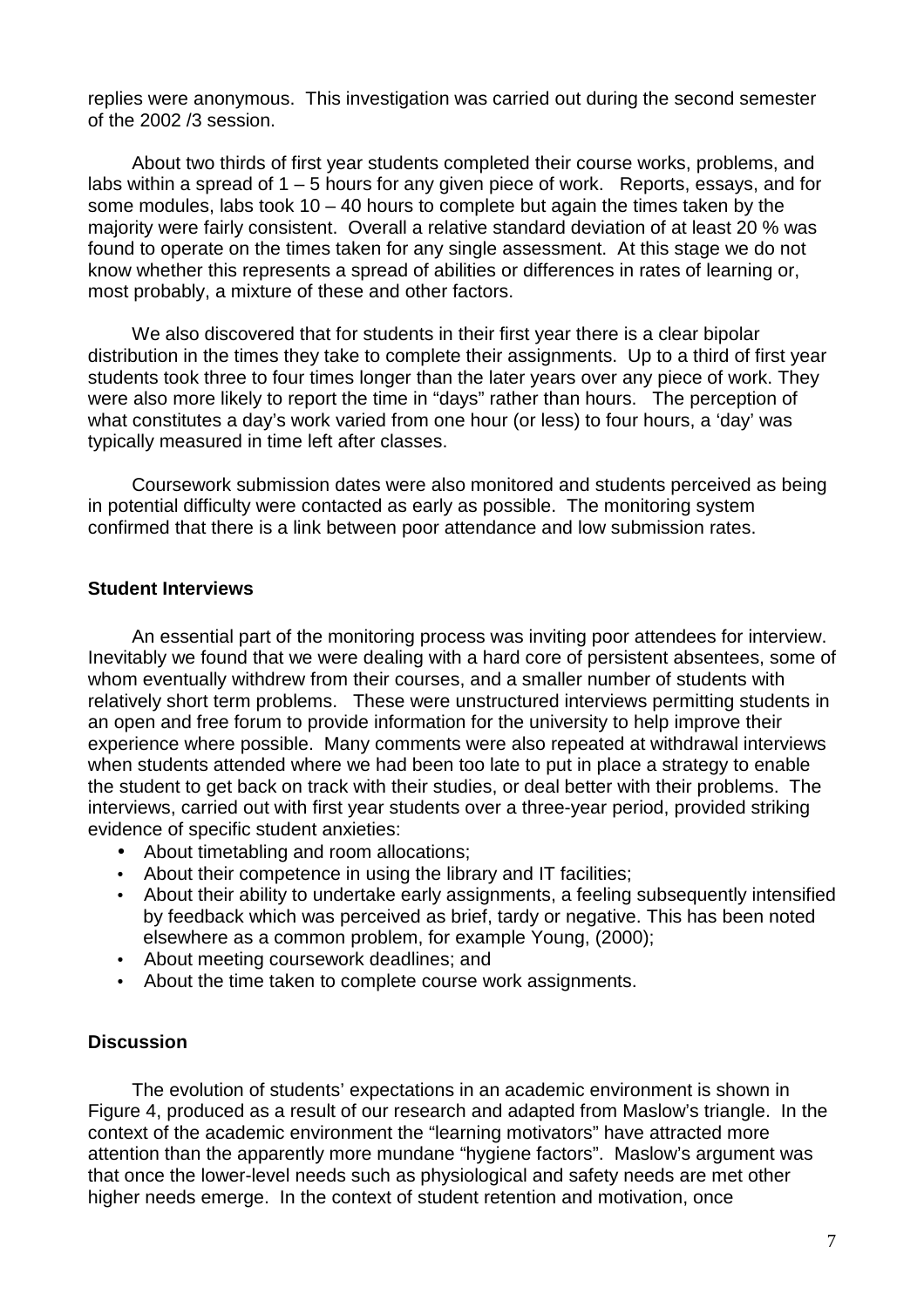replies were anonymous. This investigation was carried out during the second semester of the 2002 /3 session.

About two thirds of first year students completed their course works, problems, and labs within a spread of 1 – 5 hours for any given piece of work. Reports, essays, and for some modules, labs took  $10 - 40$  hours to complete but again the times taken by the majority were fairly consistent. Overall a relative standard deviation of at least 20 % was found to operate on the times taken for any single assessment. At this stage we do not know whether this represents a spread of abilities or differences in rates of learning or, most probably, a mixture of these and other factors.

We also discovered that for students in their first year there is a clear bipolar distribution in the times they take to complete their assignments. Up to a third of first year students took three to four times longer than the later years over any piece of work. They were also more likely to report the time in "days" rather than hours. The perception of what constitutes a day's work varied from one hour (or less) to four hours, a 'day' was typically measured in time left after classes.

Coursework submission dates were also monitored and students perceived as being in potential difficulty were contacted as early as possible. The monitoring system confirmed that there is a link between poor attendance and low submission rates.

#### **Student Interviews**

An essential part of the monitoring process was inviting poor attendees for interview. Inevitably we found that we were dealing with a hard core of persistent absentees, some of whom eventually withdrew from their courses, and a smaller number of students with relatively short term problems. These were unstructured interviews permitting students in an open and free forum to provide information for the university to help improve their experience where possible. Many comments were also repeated at withdrawal interviews when students attended where we had been too late to put in place a strategy to enable the student to get back on track with their studies, or deal better with their problems. The interviews, carried out with first year students over a three-year period, provided striking evidence of specific student anxieties:

- About timetabling and room allocations;
- About their competence in using the library and IT facilities;
- About their ability to undertake early assignments, a feeling subsequently intensified by feedback which was perceived as brief, tardy or negative. This has been noted elsewhere as a common problem, for example Young, (2000);
- About meeting coursework deadlines; and
- About the time taken to complete course work assignments.

### **Discussion**

The evolution of students' expectations in an academic environment is shown in Figure 4, produced as a result of our research and adapted from Maslow's triangle. In the context of the academic environment the "learning motivators" have attracted more attention than the apparently more mundane "hygiene factors". Maslow's argument was that once the lower-level needs such as physiological and safety needs are met other higher needs emerge. In the context of student retention and motivation, once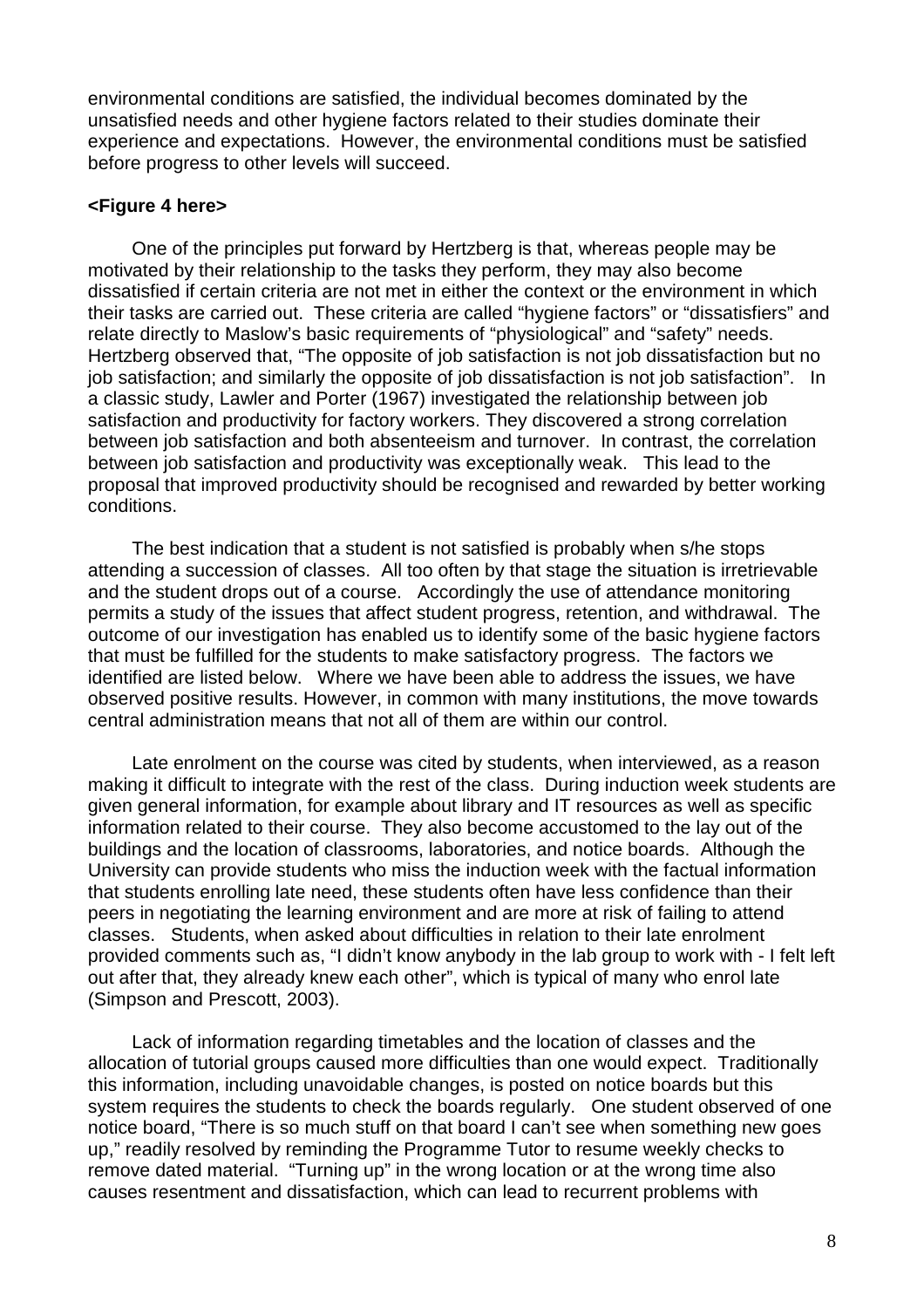environmental conditions are satisfied, the individual becomes dominated by the unsatisfied needs and other hygiene factors related to their studies dominate their experience and expectations. However, the environmental conditions must be satisfied before progress to other levels will succeed.

#### **<Figure 4 here>**

One of the principles put forward by Hertzberg is that, whereas people may be motivated by their relationship to the tasks they perform, they may also become dissatisfied if certain criteria are not met in either the context or the environment in which their tasks are carried out. These criteria are called "hygiene factors" or "dissatisfiers" and relate directly to Maslow's basic requirements of "physiological" and "safety" needs. Hertzberg observed that, "The opposite of job satisfaction is not job dissatisfaction but no job satisfaction; and similarly the opposite of job dissatisfaction is not job satisfaction". In a classic study, Lawler and Porter (1967) investigated the relationship between job satisfaction and productivity for factory workers. They discovered a strong correlation between job satisfaction and both absenteeism and turnover. In contrast, the correlation between job satisfaction and productivity was exceptionally weak. This lead to the proposal that improved productivity should be recognised and rewarded by better working conditions.

The best indication that a student is not satisfied is probably when s/he stops attending a succession of classes. All too often by that stage the situation is irretrievable and the student drops out of a course. Accordingly the use of attendance monitoring permits a study of the issues that affect student progress, retention, and withdrawal. The outcome of our investigation has enabled us to identify some of the basic hygiene factors that must be fulfilled for the students to make satisfactory progress. The factors we identified are listed below. Where we have been able to address the issues, we have observed positive results. However, in common with many institutions, the move towards central administration means that not all of them are within our control.

Late enrolment on the course was cited by students, when interviewed, as a reason making it difficult to integrate with the rest of the class. During induction week students are given general information, for example about library and IT resources as well as specific information related to their course. They also become accustomed to the lay out of the buildings and the location of classrooms, laboratories, and notice boards. Although the University can provide students who miss the induction week with the factual information that students enrolling late need, these students often have less confidence than their peers in negotiating the learning environment and are more at risk of failing to attend classes. Students, when asked about difficulties in relation to their late enrolment provided comments such as, "I didn't know anybody in the lab group to work with - I felt left out after that, they already knew each other", which is typical of many who enrol late (Simpson and Prescott, 2003).

Lack of information regarding timetables and the location of classes and the allocation of tutorial groups caused more difficulties than one would expect. Traditionally this information, including unavoidable changes, is posted on notice boards but this system requires the students to check the boards regularly. One student observed of one notice board, "There is so much stuff on that board I can't see when something new goes up," readily resolved by reminding the Programme Tutor to resume weekly checks to remove dated material. "Turning up" in the wrong location or at the wrong time also causes resentment and dissatisfaction, which can lead to recurrent problems with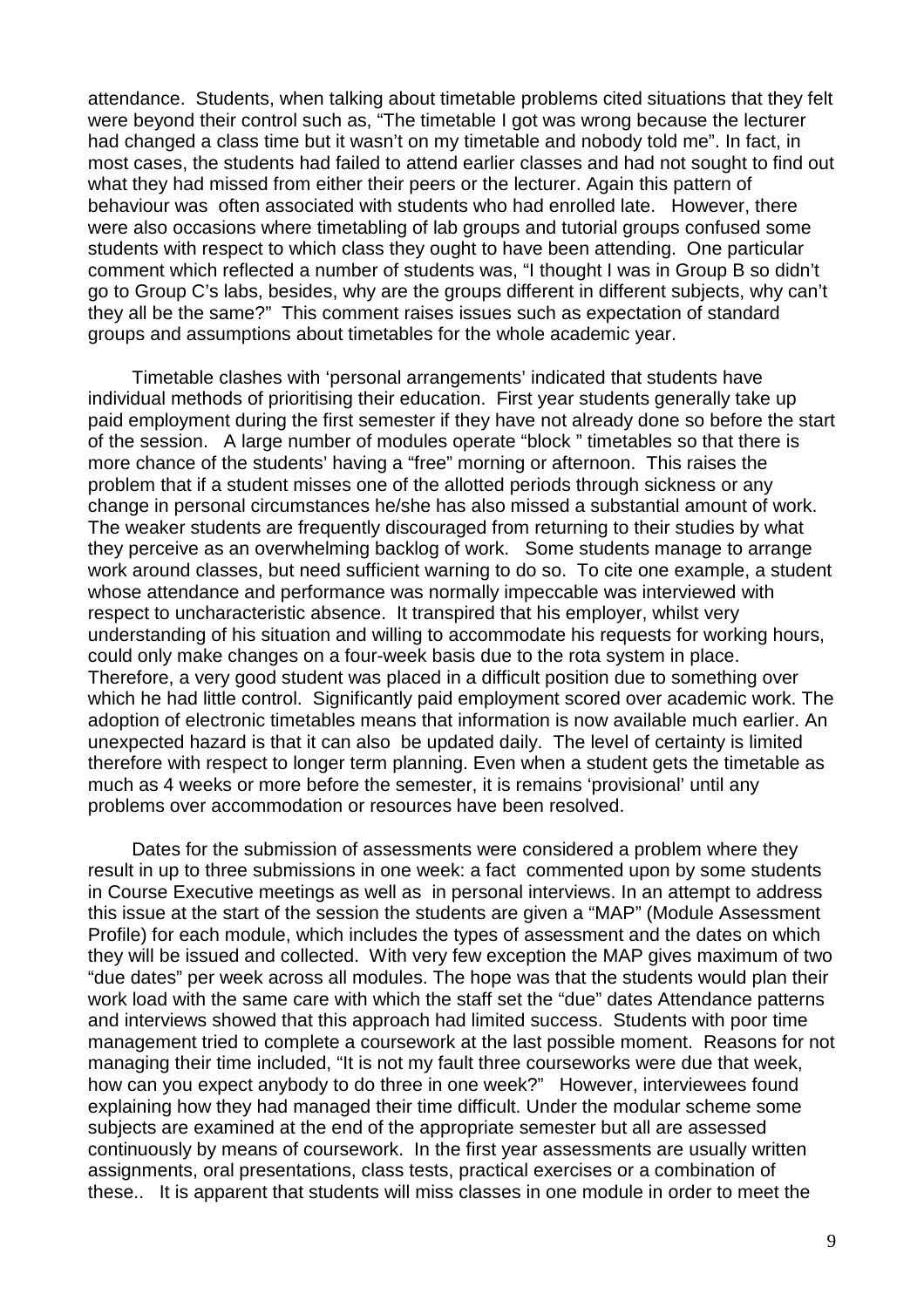attendance. Students, when talking about timetable problems cited situations that they felt were beyond their control such as, "The timetable I got was wrong because the lecturer had changed a class time but it wasn't on my timetable and nobody told me". In fact, in most cases, the students had failed to attend earlier classes and had not sought to find out what they had missed from either their peers or the lecturer. Again this pattern of behaviour was often associated with students who had enrolled late. However, there were also occasions where timetabling of lab groups and tutorial groups confused some students with respect to which class they ought to have been attending. One particular comment which reflected a number of students was, "I thought I was in Group B so didn't go to Group C's labs, besides, why are the groups different in different subjects, why can't they all be the same?" This comment raises issues such as expectation of standard groups and assumptions about timetables for the whole academic year.

Timetable clashes with 'personal arrangements' indicated that students have individual methods of prioritising their education. First year students generally take up paid employment during the first semester if they have not already done so before the start of the session. A large number of modules operate "block " timetables so that there is more chance of the students' having a "free" morning or afternoon. This raises the problem that if a student misses one of the allotted periods through sickness or any change in personal circumstances he/she has also missed a substantial amount of work. The weaker students are frequently discouraged from returning to their studies by what they perceive as an overwhelming backlog of work. Some students manage to arrange work around classes, but need sufficient warning to do so. To cite one example, a student whose attendance and performance was normally impeccable was interviewed with respect to uncharacteristic absence. It transpired that his employer, whilst very understanding of his situation and willing to accommodate his requests for working hours, could only make changes on a four-week basis due to the rota system in place. Therefore, a very good student was placed in a difficult position due to something over which he had little control. Significantly paid employment scored over academic work. The adoption of electronic timetables means that information is now available much earlier. An unexpected hazard is that it can also be updated daily. The level of certainty is limited therefore with respect to longer term planning. Even when a student gets the timetable as much as 4 weeks or more before the semester, it is remains 'provisional' until any problems over accommodation or resources have been resolved.

Dates for the submission of assessments were considered a problem where they result in up to three submissions in one week: a fact commented upon by some students in Course Executive meetings as well as in personal interviews. In an attempt to address this issue at the start of the session the students are given a "MAP" (Module Assessment Profile) for each module, which includes the types of assessment and the dates on which they will be issued and collected. With very few exception the MAP gives maximum of two "due dates" per week across all modules. The hope was that the students would plan their work load with the same care with which the staff set the "due" dates Attendance patterns and interviews showed that this approach had limited success. Students with poor time management tried to complete a coursework at the last possible moment. Reasons for not managing their time included, "It is not my fault three courseworks were due that week, how can you expect anybody to do three in one week?" However, interviewees found explaining how they had managed their time difficult. Under the modular scheme some subjects are examined at the end of the appropriate semester but all are assessed continuously by means of coursework. In the first year assessments are usually written assignments, oral presentations, class tests, practical exercises or a combination of these.. It is apparent that students will miss classes in one module in order to meet the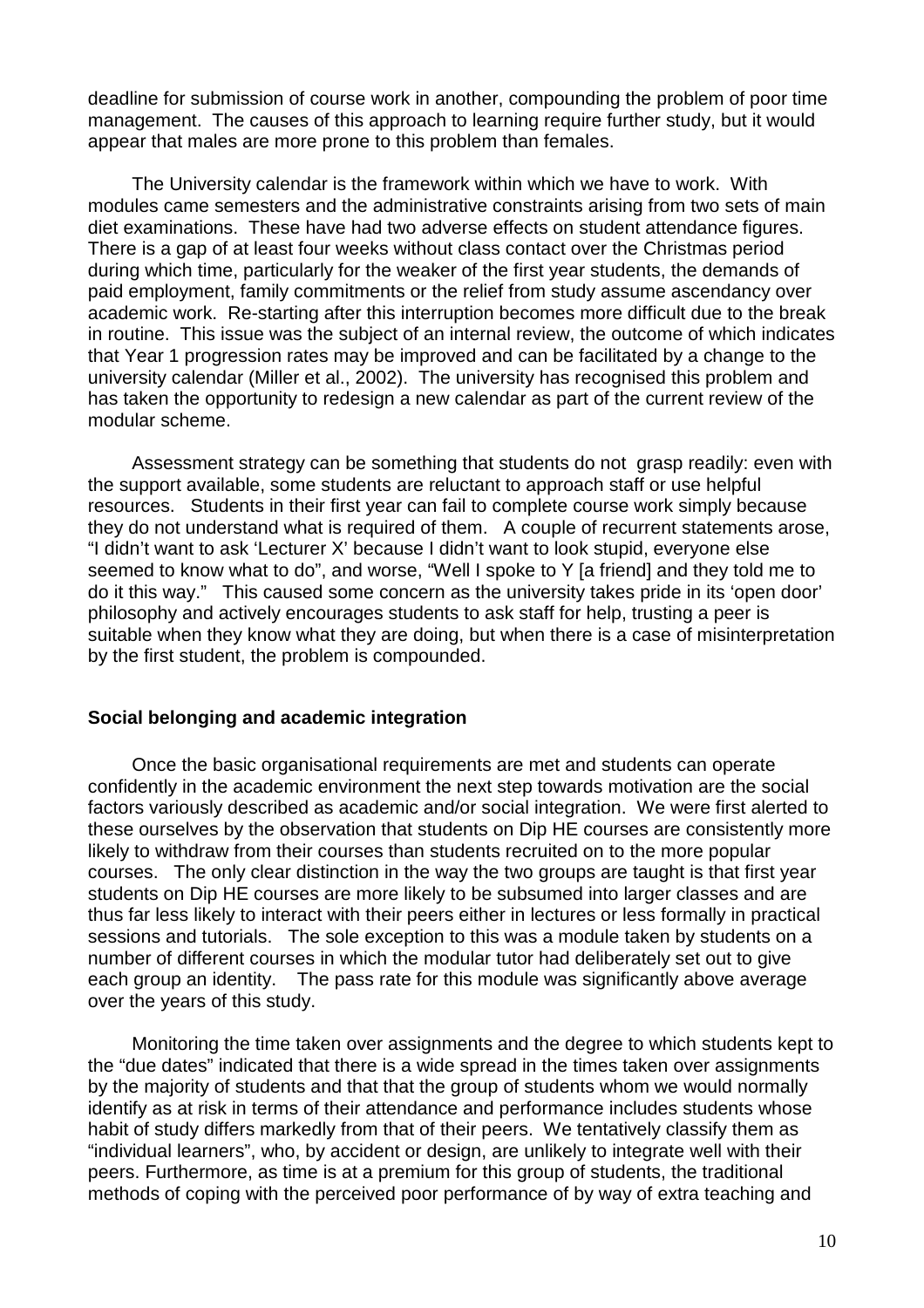deadline for submission of course work in another, compounding the problem of poor time management. The causes of this approach to learning require further study, but it would appear that males are more prone to this problem than females.

The University calendar is the framework within which we have to work. With modules came semesters and the administrative constraints arising from two sets of main diet examinations. These have had two adverse effects on student attendance figures. There is a gap of at least four weeks without class contact over the Christmas period during which time, particularly for the weaker of the first year students, the demands of paid employment, family commitments or the relief from study assume ascendancy over academic work. Re-starting after this interruption becomes more difficult due to the break in routine. This issue was the subject of an internal review, the outcome of which indicates that Year 1 progression rates may be improved and can be facilitated by a change to the university calendar (Miller et al., 2002). The university has recognised this problem and has taken the opportunity to redesign a new calendar as part of the current review of the modular scheme.

Assessment strategy can be something that students do not grasp readily: even with the support available, some students are reluctant to approach staff or use helpful resources. Students in their first year can fail to complete course work simply because they do not understand what is required of them. A couple of recurrent statements arose, "I didn't want to ask 'Lecturer X' because I didn't want to look stupid, everyone else seemed to know what to do", and worse, "Well I spoke to Y [a friend] and they told me to do it this way." This caused some concern as the university takes pride in its 'open door' philosophy and actively encourages students to ask staff for help, trusting a peer is suitable when they know what they are doing, but when there is a case of misinterpretation by the first student, the problem is compounded.

#### **Social belonging and academic integration**

Once the basic organisational requirements are met and students can operate confidently in the academic environment the next step towards motivation are the social factors variously described as academic and/or social integration. We were first alerted to these ourselves by the observation that students on Dip HE courses are consistently more likely to withdraw from their courses than students recruited on to the more popular courses. The only clear distinction in the way the two groups are taught is that first year students on Dip HE courses are more likely to be subsumed into larger classes and are thus far less likely to interact with their peers either in lectures or less formally in practical sessions and tutorials. The sole exception to this was a module taken by students on a number of different courses in which the modular tutor had deliberately set out to give each group an identity. The pass rate for this module was significantly above average over the years of this study.

Monitoring the time taken over assignments and the degree to which students kept to the "due dates" indicated that there is a wide spread in the times taken over assignments by the majority of students and that that the group of students whom we would normally identify as at risk in terms of their attendance and performance includes students whose habit of study differs markedly from that of their peers. We tentatively classify them as "individual learners", who, by accident or design, are unlikely to integrate well with their peers. Furthermore, as time is at a premium for this group of students, the traditional methods of coping with the perceived poor performance of by way of extra teaching and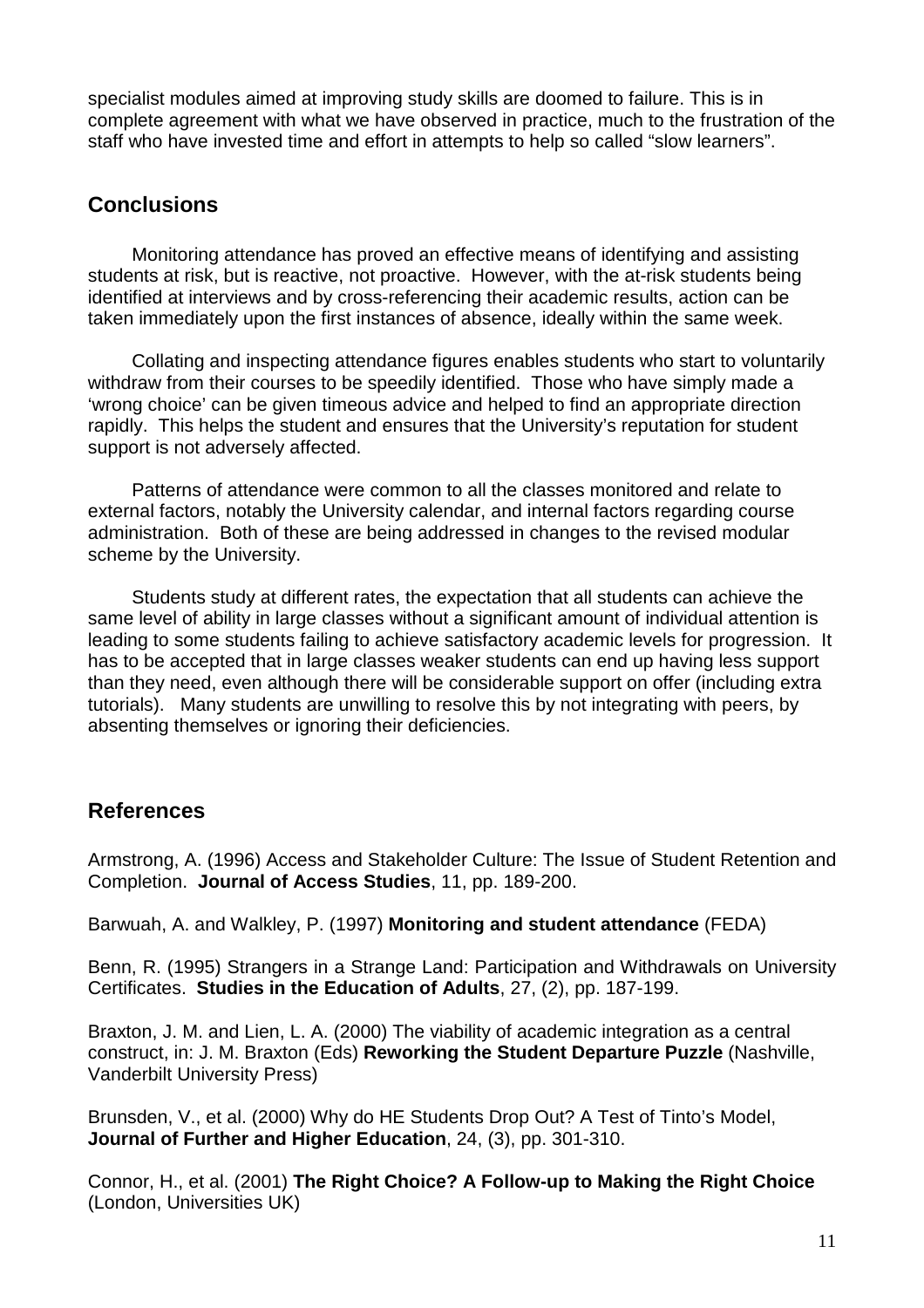specialist modules aimed at improving study skills are doomed to failure. This is in complete agreement with what we have observed in practice, much to the frustration of the staff who have invested time and effort in attempts to help so called "slow learners".

## **Conclusions**

Monitoring attendance has proved an effective means of identifying and assisting students at risk, but is reactive, not proactive. However, with the at-risk students being identified at interviews and by cross-referencing their academic results, action can be taken immediately upon the first instances of absence, ideally within the same week.

Collating and inspecting attendance figures enables students who start to voluntarily withdraw from their courses to be speedily identified. Those who have simply made a 'wrong choice' can be given timeous advice and helped to find an appropriate direction rapidly. This helps the student and ensures that the University's reputation for student support is not adversely affected.

Patterns of attendance were common to all the classes monitored and relate to external factors, notably the University calendar, and internal factors regarding course administration. Both of these are being addressed in changes to the revised modular scheme by the University.

Students study at different rates, the expectation that all students can achieve the same level of ability in large classes without a significant amount of individual attention is leading to some students failing to achieve satisfactory academic levels for progression. It has to be accepted that in large classes weaker students can end up having less support than they need, even although there will be considerable support on offer (including extra tutorials). Many students are unwilling to resolve this by not integrating with peers, by absenting themselves or ignoring their deficiencies.

## **References**

Armstrong, A. (1996) Access and Stakeholder Culture: The Issue of Student Retention and Completion. **Journal of Access Studies**, 11, pp. 189-200.

Barwuah, A. and Walkley, P. (1997) **Monitoring and student attendance** (FEDA)

Benn, R. (1995) Strangers in a Strange Land: Participation and Withdrawals on University Certificates. **Studies in the Education of Adults**, 27, (2), pp. 187-199.

Braxton, J. M. and Lien, L. A. (2000) The viability of academic integration as a central construct, in: J. M. Braxton (Eds) **Reworking the Student Departure Puzzle** (Nashville, Vanderbilt University Press)

Brunsden, V., et al. (2000) Why do HE Students Drop Out? A Test of Tinto's Model, **Journal of Further and Higher Education**, 24, (3), pp. 301-310.

Connor, H., et al. (2001) **The Right Choice? A Follow-up to Making the Right Choice** (London, Universities UK)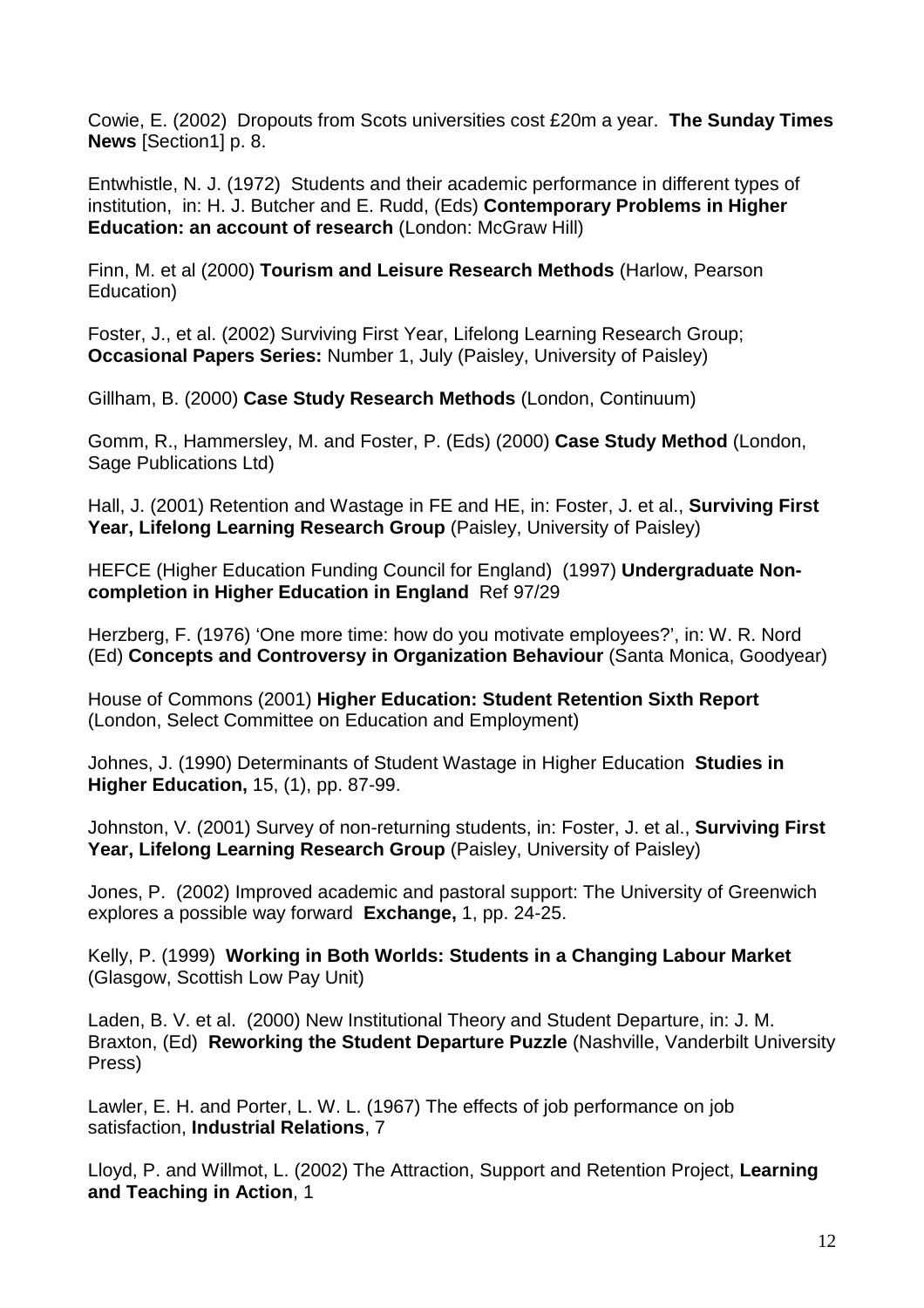Cowie, E. (2002) Dropouts from Scots universities cost £20m a year. **The Sunday Times News** [Section1] p. 8.

Entwhistle, N. J. (1972) Students and their academic performance in different types of institution, in: H. J. Butcher and E. Rudd, (Eds) **Contemporary Problems in Higher Education: an account of research** (London: McGraw Hill)

Finn, M. et al (2000) **Tourism and Leisure Research Methods** (Harlow, Pearson Education)

Foster, J., et al. (2002) Surviving First Year, Lifelong Learning Research Group; **Occasional Papers Series:** Number 1, July (Paisley, University of Paisley)

Gillham, B. (2000) **Case Study Research Methods** (London, Continuum)

Gomm, R., Hammersley, M. and Foster, P. (Eds) (2000) **Case Study Method** (London, Sage Publications Ltd)

Hall, J. (2001) Retention and Wastage in FE and HE, in: Foster, J. et al., **Surviving First Year, Lifelong Learning Research Group** (Paisley, University of Paisley)

HEFCE (Higher Education Funding Council for England) (1997) **Undergraduate Noncompletion in Higher Education in England** Ref 97/29

Herzberg, F. (1976) 'One more time: how do you motivate employees?', in: W. R. Nord (Ed) **Concepts and Controversy in Organization Behaviour** (Santa Monica, Goodyear)

House of Commons (2001) **Higher Education: Student Retention Sixth Report** (London, Select Committee on Education and Employment)

Johnes, J. (1990) Determinants of Student Wastage in Higher Education **Studies in Higher Education,** 15, (1), pp. 87-99.

Johnston, V. (2001) Survey of non-returning students, in: Foster, J. et al., **Surviving First Year, Lifelong Learning Research Group** (Paisley, University of Paisley)

Jones, P. (2002) Improved academic and pastoral support: The University of Greenwich explores a possible way forward **Exchange,** 1, pp. 24-25.

Kelly, P. (1999) **Working in Both Worlds: Students in a Changing Labour Market** (Glasgow, Scottish Low Pay Unit)

Laden, B. V. et al. (2000) New Institutional Theory and Student Departure, in: J. M. Braxton, (Ed) **Reworking the Student Departure Puzzle** (Nashville, Vanderbilt University Press)

Lawler, E. H. and Porter, L. W. L. (1967) The effects of job performance on job satisfaction, **Industrial Relations**, 7

Lloyd, P. and Willmot, L. (2002) The Attraction, Support and Retention Project, **Learning and Teaching in Action**, 1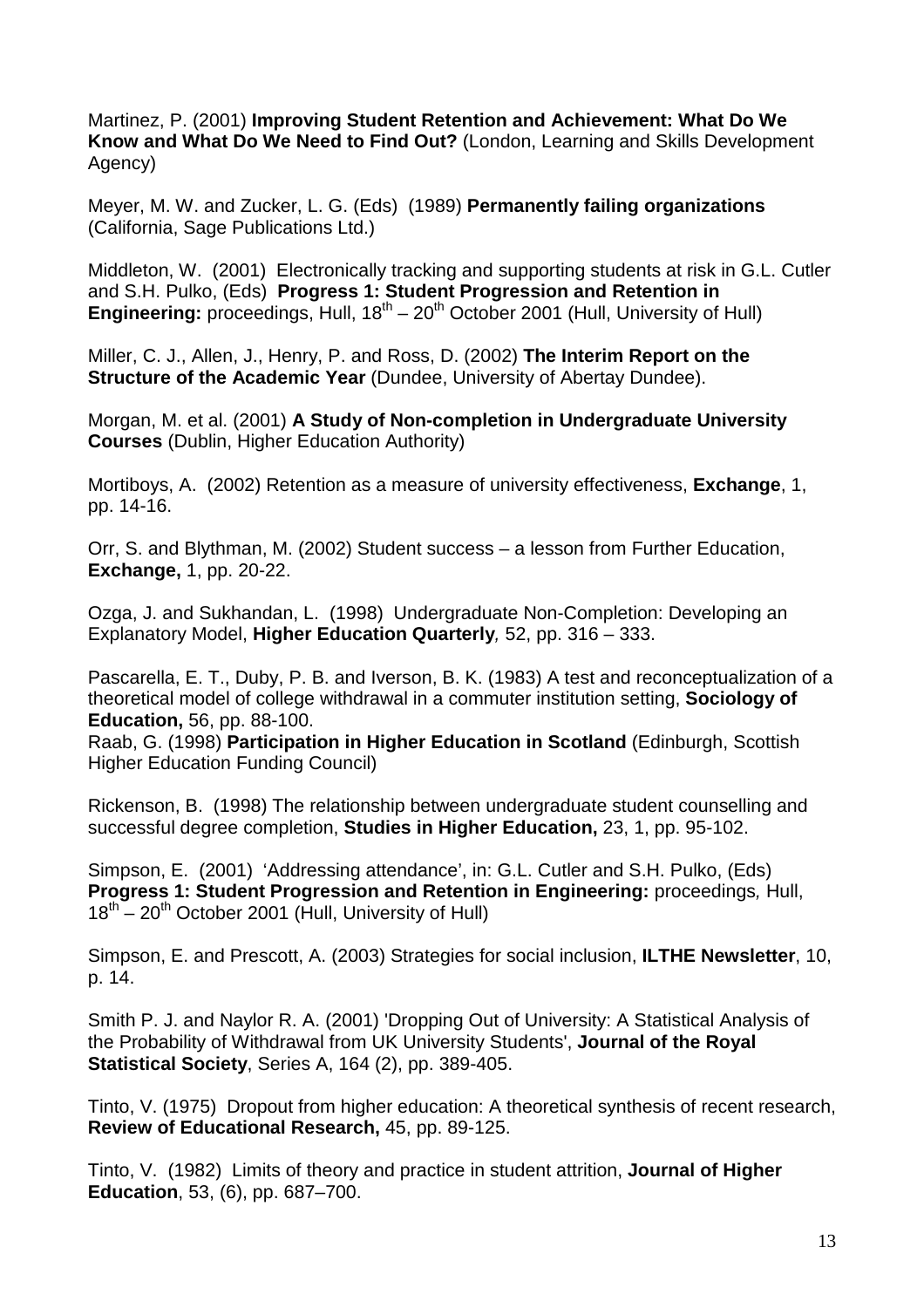Martinez, P. (2001) **Improving Student Retention and Achievement: What Do We Know and What Do We Need to Find Out?** (London, Learning and Skills Development Agency)

Meyer, M. W. and Zucker, L. G. (Eds) (1989) **Permanently failing organizations** (California, Sage Publications Ltd.)

Middleton, W. (2001) Electronically tracking and supporting students at risk in G.L. Cutler and S.H. Pulko, (Eds) **Progress 1: Student Progression and Retention in Engineering:** proceedings, Hull,  $18^{th} - 20^{th}$  October 2001 (Hull, University of Hull)

Miller, C. J., Allen, J., Henry, P. and Ross, D. (2002) **The Interim Report on the Structure of the Academic Year** (Dundee, University of Abertay Dundee).

Morgan, M. et al. (2001) **A Study of Non-completion in Undergraduate University Courses** (Dublin, Higher Education Authority)

Mortiboys, A. (2002) Retention as a measure of university effectiveness, **Exchange**, 1, pp. 14-16.

Orr, S. and Blythman, M. (2002) Student success – a lesson from Further Education, **Exchange,** 1, pp. 20-22.

Ozga, J. and Sukhandan, L. (1998) Undergraduate Non-Completion: Developing an Explanatory Model, **Higher Education Quarterly**, 52, pp. 316 – 333.

Pascarella, E. T., Duby, P. B. and Iverson, B. K. (1983) A test and reconceptualization of a theoretical model of college withdrawal in a commuter institution setting, **Sociology of Education,** 56, pp. 88-100.

Raab, G. (1998) **Participation in Higher Education in Scotland** (Edinburgh, Scottish Higher Education Funding Council)

Rickenson, B. (1998) The relationship between undergraduate student counselling and successful degree completion, **Studies in Higher Education,** 23, 1, pp. 95-102.

Simpson, E. (2001) 'Addressing attendance', in: G.L. Cutler and S.H. Pulko, (Eds) **Progress 1: Student Progression and Retention in Engineering:** proceedings, Hull,  $18^{th}$  – 20<sup>th</sup> October 2001 (Hull, University of Hull)

Simpson, E. and Prescott, A. (2003) Strategies for social inclusion, **ILTHE Newsletter**, 10, p. 14.

Smith P. J. and Naylor R. A. (2001) 'Dropping Out of University: A Statistical Analysis of the Probability of Withdrawal from UK University Students', **Journal of the Royal Statistical Society**, Series A, 164 (2), pp. 389-405.

Tinto, V. (1975) Dropout from higher education: A theoretical synthesis of recent research, **Review of Educational Research,** 45, pp. 89-125.

Tinto, V. (1982) Limits of theory and practice in student attrition, **Journal of Higher Education**, 53, (6), pp. 687–700.